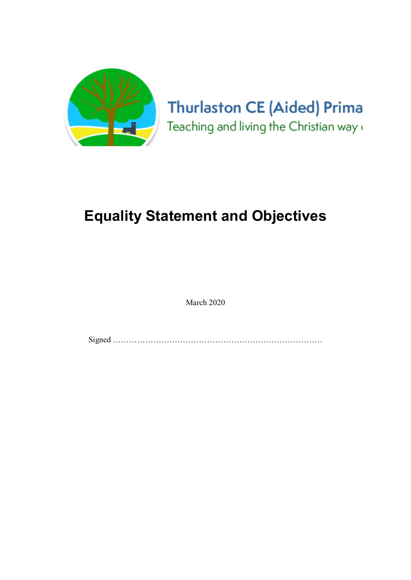

# Equality Statement and Objectives

March 2020

Signed ……………………………………………………………………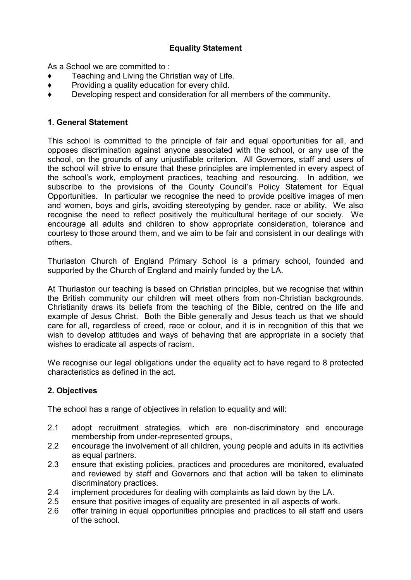## Equality Statement

As a School we are committed to :

- Teaching and Living the Christian way of Life.
- ♦ Providing a quality education for every child.
- ♦ Developing respect and consideration for all members of the community.

### 1. General Statement

This school is committed to the principle of fair and equal opportunities for all, and opposes discrimination against anyone associated with the school, or any use of the school, on the grounds of any unjustifiable criterion. All Governors, staff and users of the school will strive to ensure that these principles are implemented in every aspect of the school's work, employment practices, teaching and resourcing. In addition, we subscribe to the provisions of the County Council's Policy Statement for Equal Opportunities. In particular we recognise the need to provide positive images of men and women, boys and girls, avoiding stereotyping by gender, race or ability. We also recognise the need to reflect positively the multicultural heritage of our society. We encourage all adults and children to show appropriate consideration, tolerance and courtesy to those around them, and we aim to be fair and consistent in our dealings with others.

Thurlaston Church of England Primary School is a primary school, founded and supported by the Church of England and mainly funded by the LA.

At Thurlaston our teaching is based on Christian principles, but we recognise that within the British community our children will meet others from non-Christian backgrounds. Christianity draws its beliefs from the teaching of the Bible, centred on the life and example of Jesus Christ. Both the Bible generally and Jesus teach us that we should care for all, regardless of creed, race or colour, and it is in recognition of this that we wish to develop attitudes and ways of behaving that are appropriate in a society that wishes to eradicate all aspects of racism.

We recognise our legal obligations under the equality act to have regard to 8 protected characteristics as defined in the act.

### 2. Objectives

The school has a range of objectives in relation to equality and will:

- 2.1 adopt recruitment strategies, which are non-discriminatory and encourage membership from under-represented groups,
- 2.2 encourage the involvement of all children, young people and adults in its activities as equal partners.
- 2.3 ensure that existing policies, practices and procedures are monitored, evaluated and reviewed by staff and Governors and that action will be taken to eliminate discriminatory practices.
- 2.4 implement procedures for dealing with complaints as laid down by the LA.
- 2.5 ensure that positive images of equality are presented in all aspects of work.
- 2.6 offer training in equal opportunities principles and practices to all staff and users of the school.